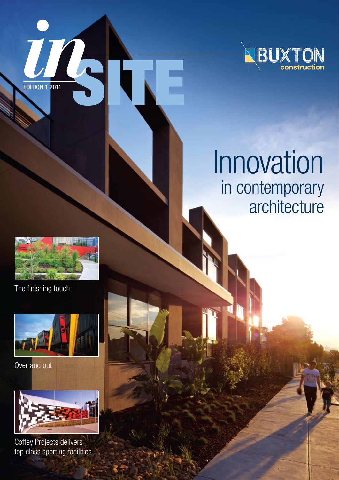

## Innovation in contemporary architecture



edition 1 2011

The finishing touch



Over and out



Coffey Projects delivers top class sporting facilities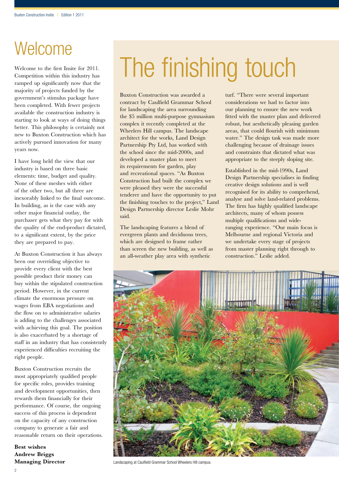### **Welcome**

Welcome to the first Insite for 2011. Competition within this industry has ramped up significantly now that the majority of projects funded by the government's stimulus package have been completed. With fewer projects available the construction industry is starting to look at ways of doing things better. This philosophy is certainly not new to Buxton Construction which has actively pursued innovation for many years now.

I have long held the view that our industry is based on three basic elements: time, budget and quality. None of these meshes with either of the other two, but all three are inexorably linked to the final outcome. In building, as is the case with any other major financial outlay, the purchaser gets what they pay for with the quality of the end-product dictated, to a significant extent, by the price they are prepared to pay.

At Buxton Construction it has always been our overriding objective to provide every client with the best possible product their money can buy within the stipulated construction period. However, in the current climate the enormous pressure on wages from EBA negotiations and the flow on to administrative salaries is adding to the challenges associated with achieving this goal. The position is also exacerbated by a shortage of staff in an industry that has consistently experienced difficulties recruiting the right people.

Buxton Construction recruits the most appropriately qualified people for specific roles, provides training and development opportunities, then rewards them financially for their performance. Of course, the ongoing success of this process is dependent on the capacity of any construction company to generate a fair and reasonable return on their operations.

**Best wishes Andrew Briggs Managing Director**

# The finishing touch

Buxton Construction was awarded a contract by Caulfield Grammar School for landscaping the area surrounding the \$5 million multi-purpose gymnasium complex it recently completed at the Wheelers Hill campus. The landscape architect for the works, Land Design Partnership Pty Ltd, has worked with the school since the mid-2000s, and developed a master plan to meet its requirements for garden, play and recreational spaces. "As Buxton Construction had built the complex we were pleased they were the successful tenderer and have the opportunity to put the finishing touches to the project," Land Design Partnership director Leslie Mohr said.

The landscaping features a blend of evergreen plants and deciduous trees, which are designed to frame rather than screen the new building, as well as an all-weather play area with synthetic

turf. "There were several important considerations we had to factor into our planning to ensure the new work fitted with the master plan and delivered robust, but aesthetically pleasing garden areas, that could flourish with minimum water." The design task was made more challenging because of drainage issues and constraints that dictated what was appropriate to the steeply sloping site.

Established in the mid-1990s, Land Design Partnership specialises in finding creative design solutions and is well recognised for its ability to comprehend, analyse and solve land-related problems. The firm has highly qualified landscape architects, many of whom possess multiple qualifications and wideranging experience. "Our main focus is Melbourne and regional Victoria and we undertake every stage of projects from master planning right through to construction." Leslie added.



Landscaping at Caulfield Grammar School Wheelers Hill campus.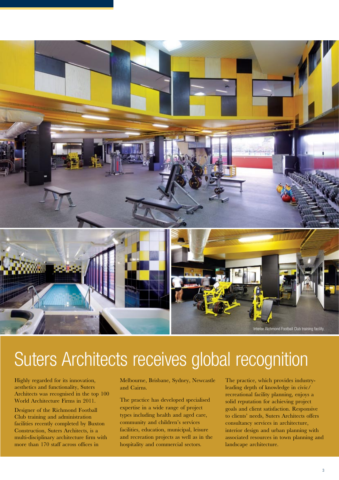

## Suters Architects receives global recognition

Highly regarded for its innovation, aesthetics and functionality, Suters Architects was recognised in the top 100 World Architecture Firms in 2011.

Designer of the Richmond Football Club training and administration facilities recently completed by Buxton Construction, Suters Architects, is a multi-disciplinary architecture firm with more than 170 staff across offices in

Melbourne, Brisbane, Sydney, Newcastle and Cairns.

The practice has developed specialised expertise in a wide range of project types including health and aged care, community and children's services facilities, education, municipal, leisure and recreation projects as well as in the hospitality and commercial sectors.

The practice, which provides industryleading depth of knowledge in civic/ recreational facility planning, enjoys a solid reputation for achieving project goals and client satisfaction. Responsive to clients' needs, Suters Architects offers consultancy services in architecture, interior design and urban planning with associated resources in town planning and landscape architecture.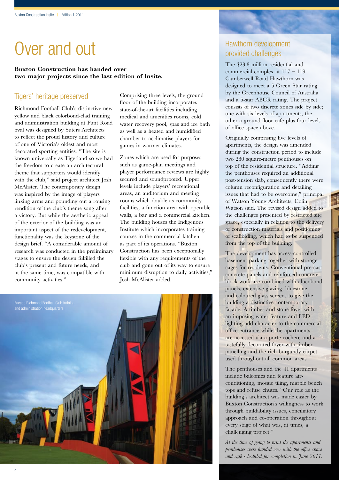### Over and out

### **Buxton Construction has handed over two major projects since the last edition of Insite.**

### Tigers' heritage preserved

Richmond Football Club's distinctive new yellow and black colorbond-clad training and administration building at Punt Road oval was designed by Suters Architects to reflect the proud history and culture of one of Victoria's oldest and most decorated sporting entities. "The site is known universally as Tigerland so we had the freedom to create an architectural theme that supporters would identify with the club," said project architect Josh McAlister. The contemporary design was inspired by the image of players linking arms and pounding out a rousing rendition of the club's theme song after a victory. But while the aesthetic appeal of the exterior of the building was an important aspect of the redevelopment, functionality was the keystone of the design brief. "A considerable amount of research was conducted in the preliminary stages to ensure the design fulfilled the club's present and future needs, and at the same time, was compatible with community activities."

Comprising three levels, the ground floor of the building incorporates state-of-the-art facilities including medical and amenities rooms, cold water recovery pool, spas and ice bath as well as a heated and humidified chamber to acclimatise players for games in warmer climates.

Zones which are used for purposes such as game-plan meetings and player performance reviews are highly secured and soundproofed. Upper levels include players' recreational areas, an auditorium and meeting rooms which double as community facilities, a function area with operable walls, a bar and a commercial kitchen. The building houses the Indigenous Institute which incorporates training courses in the commercial kitchen as part of its operations. "Buxton Construction has been exceptionally flexible with any requirements of the club and gone out of its way to ensure minimum disruption to daily activities," Josh McAlister added.



### Hawthorn development provided challenges

The \$23.8 million residential and commercial complex at 117 – 119 Camberwell Road Hawthorn was designed to meet a 5 Green Star rating by the Greenhouse Council of Australia and a 5-star ABGR rating. The project consists of two discrete zones side by side; one with six levels of apartments, the other a ground-floor café plus four levels of office space above.

Originally comprising five levels of apartments, the design was amended during the construction period to include two 280 square-metre penthouses on top of the residential structure. "Adding the penthouses required an additional post-tension slab, consequently there were column reconfiguration and detailing issues that had to be overcome," principal of Watson Young Architects, Colin Watson said. The revised design added to the challenges presented by restricted site space, especially in relation to the delivery of construction materials and positioning of scaffolding, which had to be suspended from the top of the building.

The development has access-controlled basement parking together with storage cages for residents. Conventional pre-cast concrete panels and reinforced concrete block-work are combined with alucobond panels, extensive glazing, bluestone and coloured glass screens to give the building a distinctive contemporary façade. A timber and stone foyer with an imposing water feature and LED lighting add character to the commercial office entrance while the apartments are accessed via a porte cochere and a tastefully decorated foyer with timber panelling and the rich burgundy carpet used throughout all common areas.

The penthouses and the 41 apartments include balconies and feature airconditioning, mosaic tiling, marble bench tops and refuse chutes. "Our role as the building's architect was made easier by Buxton Construction's willingness to work through buildability issues, conciliatory approach and co-operation throughout every stage of what was, at times, a challenging project."

*At the time of going to print the apartments and penthouses were handed over with the office space and café scheduled for completion in June 2011.*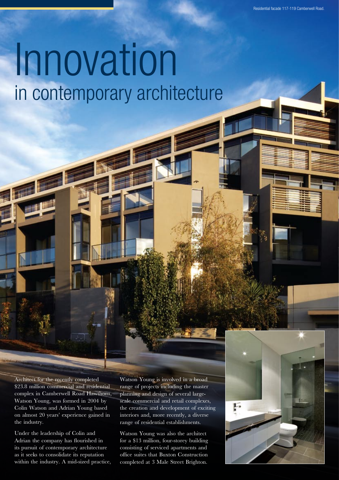# Innovation in contemporary architecture

Architect for the recently completed \$23.8 million commercial and residential complex in Camberwell Road Hawthorn, Watson Young, was formed in 2004 by Colin Watson and Adrian Young based on almost 20 years' experience gained in the industry.

Under the leadership of Colin and Adrian the company has flourished in its pursuit of contemporary architecture as it seeks to consolidate its reputation within the industry. A mid-sized practice, Watson Young is involved in a broad range of projects including the master planning and design of several largescale commercial and retail complexes, the creation and development of exciting interiors and, more recently, a diverse range of residential establishments.

Watson Young was also the architect for a \$13 million, four-storey building consisting of serviced apartments and office suites that Buxton Construction completed at 3 Male Street Brighton.

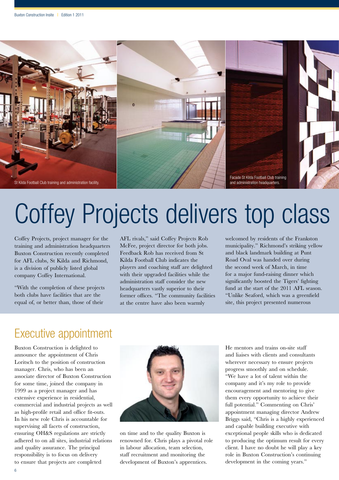

# Coffey Projects delivers top class

Coffey Projects, project manager for the training and administration headquarters Buxton Construction recently completed for AFL clubs, St Kilda and Richmond, is a division of publicly listed global company Coffey International.

"With the completion of these projects both clubs have facilities that are the equal of, or better than, those of their

AFL rivals," said Coffey Projects Rob McFee, project director for both jobs. Feedback Rob has received from St Kilda Football Club indicates the players and coaching staff are delighted with their upgraded facilities while the administration staff consider the new headquarters vastly superior to their former offices. "The community facilities at the centre have also been warmly

welcomed by residents of the Frankston municipality." Richmond's striking yellow and black landmark building at Punt Road Oval was handed over during the second week of March, in time for a major fund-raising dinner which significantly boosted the Tigers' fighting fund at the start of the 2011 AFL season. "Unlike Seaford, which was a greenfield site, this project presented numerous

### Executive appointment

Buxton Construction is delighted to announce the appointment of Chris Loritsch to the position of construction manager. Chris, who has been an associate director of Buxton Construction for some time, joined the company in 1999 as a project manager and has extensive experience in residential, commercial and industrial projects as well as high-profile retail and office fit-outs. In his new role Chris is accountable for supervising all facets of construction, ensuring OH&S regulations are strictly adhered to on all sites, industrial relations and quality assurance. The principal responsibility is to focus on delivery to ensure that projects are completed



on time and to the quality Buxton is renowned for. Chris plays a pivotal role in labour allocation, team selection, staff recruitment and monitoring the development of Buxton's apprentices.

He mentors and trains on-site staff and liaises with clients and consultants wherever necessary to ensure projects progress smoothly and on schedule. "We have a lot of talent within the company and it's my role to provide encouragement and mentoring to give them every opportunity to achieve their full potential." Commenting on Chris' appointment managing director Andrew Briggs said, "Chris is a highly experienced and capable building executive with exceptional people skills who is dedicated to producing the optimum result for every client. I have no doubt he will play a key role in Buxton Construction's continuing development in the coming years."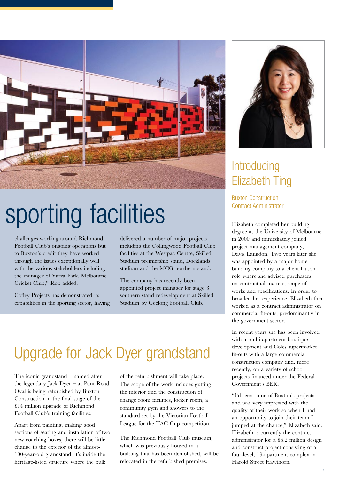

## sporting facilities

challenges working around Richmond Football Club's ongoing operations but to Buxton's credit they have worked through the issues exceptionally well with the various stakeholders including the manager of Yarra Park, Melbourne Cricket Club," Rob added.

Coffey Projects has demonstrated its capabilities in the sporting sector, having delivered a number of major projects including the Collingwood Football Club facilities at the Westpac Centre, Skilled Stadium premiership stand, Docklands stadium and the MCG northern stand.

The company has recently been appointed project manager for stage 3 southern stand redevelopment at Skilled Stadium by Geelong Football Club.

### Upgrade for Jack Dyer grandstand

The iconic grandstand – named after the legendary Jack Dyer – at Punt Road Oval is being refurbished by Buxton Construction in the final stage of the \$14 million upgrade of Richmond Football Club's training facilities.

Apart from painting, making good sections of seating and installation of two new coaching boxes, there will be little change to the exterior of the almost-100-year-old grandstand; it's inside the heritage-listed structure where the bulk

of the refurbishment will take place. The scope of the work includes gutting the interior and the construction of change room facilities, locker room, a community gym and showers to the standard set by the Victorian Football League for the TAC Cup competition.

The Richmond Football Club museum, which was previously housed in a building that has been demolished, will be relocated in the refurbished premises.



### **Introducing** Elizabeth Ting

Buxton Construction Contract Administrator

Elizabeth completed her building degree at the University of Melbourne in 2000 and immediately joined project management company, Davis Langdon. Two years later she was appointed by a major home building company to a client liaison role where she advised purchasers on contractual matters, scope of works and specifications. In order to broaden her experience, Elizabeth then worked as a contract administrator on commercial fit-outs, predominantly in the government sector.

In recent years she has been involved with a multi-apartment boutique development and Coles supermarket fit-outs with a large commercial construction company and, more recently, on a variety of school projects financed under the Federal Government's BER.

"I'd seen some of Buxton's projects and was very impressed with the quality of their work so when I had an opportunity to join their team I jumped at the chance," Elizabeth said. Elizabeth is currently the contract administrator for a \$6.2 million design and construct project consisting of a four-level, 19-apartment complex in Harold Street Hawthorn.